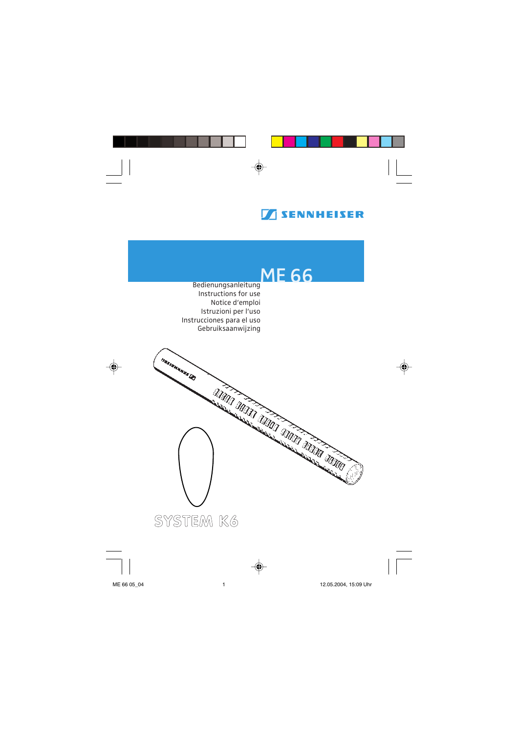

## **ME 66**

Bedienungsanleitung Instructions for use Notice d'emploi Istruzioni per l'uso Instrucciones para el uso Gebruiksaanwijzing

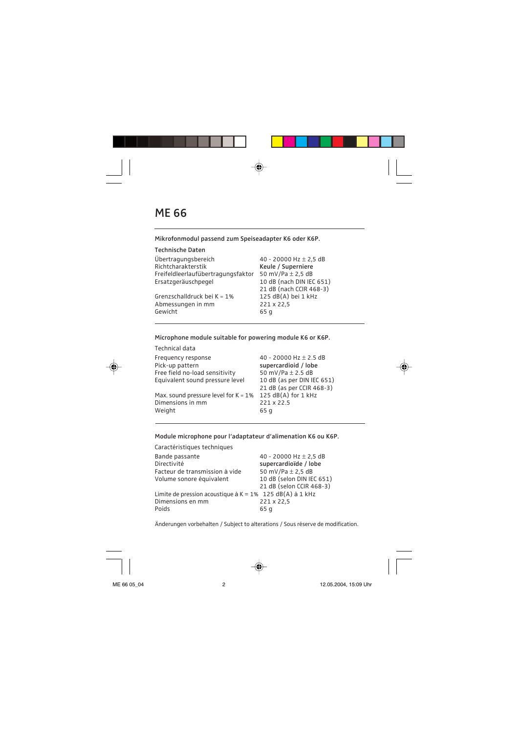**Mikrofonmodul passend zum Speiseadapter K6 oder K6P.**

| Technische Daten                   |                            |
|------------------------------------|----------------------------|
| Übertragungsbereich                | 40 - 20000 Hz $\pm$ 2,5 dB |
| Richtcharakterstik                 | Keule / Superniere         |
| Freifeldleerlaufübertragungsfaktor | 50 mV/Pa $\pm$ 2,5 dB      |
| Ersatzgeräuschpegel                | 10 dB (nach DIN IEC 651)   |
|                                    | 21 dB (nach CCIR 468-3)    |
| Grenzschalldruck bei K = 1%        | 125 dB(A) bei 1 kHz        |
| Abmessungen in mm                  | 221 x 22,5                 |
| Gewicht                            | 65 g                       |
|                                    |                            |

**Microphone module suitable for powering module K6 or K6P.**

| Technical data                          |                            |
|-----------------------------------------|----------------------------|
| Frequency response                      | 40 - 20000 Hz $\pm$ 2.5 dB |
| Pick-up pattern                         | supercardioid / lobe       |
| Free field no-load sensitivity          | 50 mV/Pa $\pm$ 2.5 dB      |
| Equivalent sound pressure level         | 10 dB (as per DIN IEC 651) |
|                                         | 21 dB (as per CCIR 468-3)  |
| Max. sound pressure level for $K = 1\%$ | 125 dB(A) for 1 kHz        |
| Dimensions in mm                        | 221 x 22.5                 |
| Weight                                  | 65 g                       |
|                                         |                            |

**Module microphone pour l'adaptateur d'alimenation K6 ou K6P.**

Caractéristiques techniques

| Bande passante                                              | 40 - 20000 Hz $\pm$ 2,5 dB |
|-------------------------------------------------------------|----------------------------|
| Directivité                                                 | supercardioïde / lobe      |
| Facteur de transmission à vide                              | 50 mV/Pa $\pm$ 2,5 dB      |
| Volume sonore équivalent                                    | 10 dB (selon DIN IEC 651)  |
|                                                             | 21 dB (selon CCIR 468-3)   |
| Limite de pression acoustique à $K = 1\%$ 125 dB(A) à 1 kHz |                            |
| Dimensions en mm                                            | 221 x 22,5                 |
| Poids                                                       | 65 g                       |

Änderungen vorbehalten / Subject to alterations / Sous réserve de modification.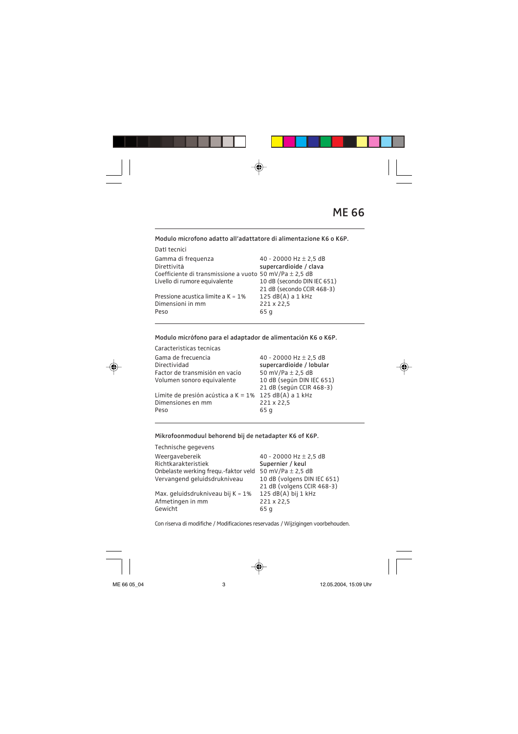**Modulo microfono adatto all'adattatore di alimentazione K6 o K6P.**

DatI tecnici

| Dati techici                                                |                             |
|-------------------------------------------------------------|-----------------------------|
| Gamma di freguenza                                          | 40 - 20000 Hz $\pm$ 2,5 dB  |
| Direttività                                                 | supercardioide / clava      |
| Coefficiente di transmissione a vuoto 50 mV/Pa $\pm$ 2.5 dB |                             |
| Livello di rumore equivalente                               | 10 dB (secondo DIN IEC 651) |
|                                                             | 21 dB (secondo CCIR 468-3)  |
| Pressione acustica limite a $K = 1\%$                       | $125 dB(A)$ a 1 kHz         |
| Dimensioni in mm                                            | 221 x 22,5                  |
| Peso                                                        | 65 g                        |
|                                                             |                             |

**Modulo micrófono para el adaptador de alimentación K6 o K6P.**

Caracteristicas tecnicas Gama de frecuencia  $40 - 20000$  Hz  $\pm 2,5$  dB<br>Directividad supercardioide / lobula supercardioide / lobular<br>50 mV/Pa + 2.5 dB Factor de transmisión en vacío 50 mV/Pa ± 2,5 dB<br>Volumen sonoro equivalente 10 dB (seqún DIN IEC 651) Volumen sonoro equivalente 21 dB (según CCIR 468-3) Límite de presión acústica a K =  $1\%$  125 dB(A) a 1 kHz<br>Dimensiones en mm 221 x 22.5 Dimensiones en mm<br>Peso Peso 65 g

**Mikrofoonmoduul behorend bij de netadapter K6 of K6P.**

| Technische gegevens                  |                             |
|--------------------------------------|-----------------------------|
| Weergavebereik                       | 40 - 20000 Hz $\pm$ 2,5 dB  |
| Richtkarakteristiek                  | Supernier / keul            |
| Onbelaste werking fregu.-faktor veld | 50 mV/Pa $\pm$ 2,5 dB       |
| Vervangend geluidsdrukniveau         | 10 dB (volgens DIN IEC 651) |
|                                      | 21 dB (volgens CCIR 468-3)  |
| Max. geluidsdrukniveau bij K = 1%    | $125 dB(A)$ bij 1 kHz       |
| Afmetingen in mm                     | 221 x 22,5                  |
| Gewicht                              | 65q                         |
|                                      |                             |

Con riserva di modifiche / Modificaciones reservadas / Wijzigingen voorbehouden.